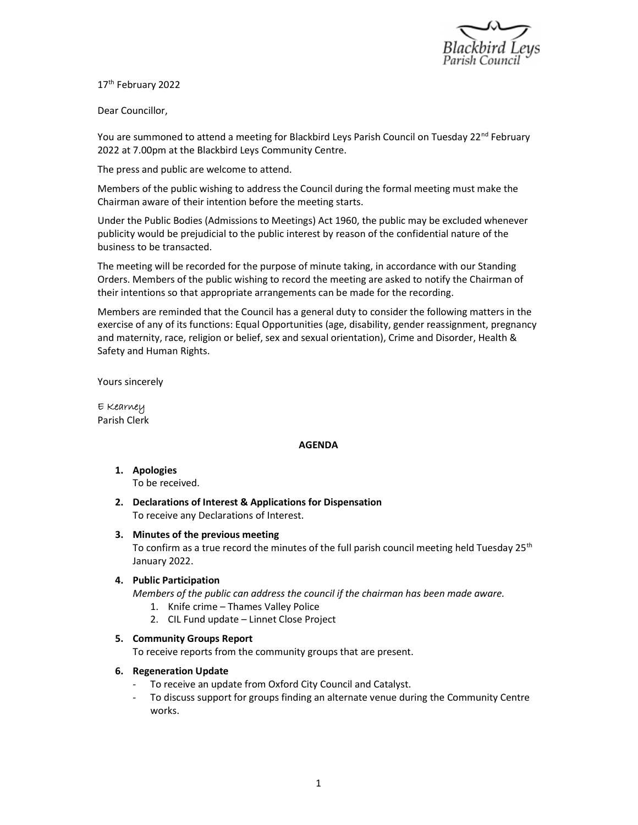

17<sup>th</sup> February 2022

Dear Councillor,

You are summoned to attend a meeting for Blackbird Leys Parish Council on Tuesday 22<sup>nd</sup> February 2022 at 7.00pm at the Blackbird Leys Community Centre.

The press and public are welcome to attend.

Members of the public wishing to address the Council during the formal meeting must make the Chairman aware of their intention before the meeting starts.

Under the Public Bodies (Admissions to Meetings) Act 1960, the public may be excluded whenever publicity would be prejudicial to the public interest by reason of the confidential nature of the business to be transacted.

The meeting will be recorded for the purpose of minute taking, in accordance with our Standing Orders. Members of the public wishing to record the meeting are asked to notify the Chairman of their intentions so that appropriate arrangements can be made for the recording.

Members are reminded that the Council has a general duty to consider the following matters in the exercise of any of its functions: Equal Opportunities (age, disability, gender reassignment, pregnancy and maternity, race, religion or belief, sex and sexual orientation), Crime and Disorder, Health & Safety and Human Rights.

Yours sincerely

E Kearney Parish Clerk

#### AGENDA

- 1. Apologies To be received.
- 2. Declarations of Interest & Applications for Dispensation To receive any Declarations of Interest.
- 3. Minutes of the previous meeting

To confirm as a true record the minutes of the full parish council meeting held Tuesday  $25<sup>th</sup>$ January 2022.

#### 4. Public Participation

Members of the public can address the council if the chairman has been made aware.

- 1. Knife crime Thames Valley Police
- 2. CIL Fund update Linnet Close Project

### 5. Community Groups Report

To receive reports from the community groups that are present.

### 6. Regeneration Update

To receive an update from Oxford City Council and Catalyst.

- To discuss support for groups finding an alternate venue during the Community Centre works.